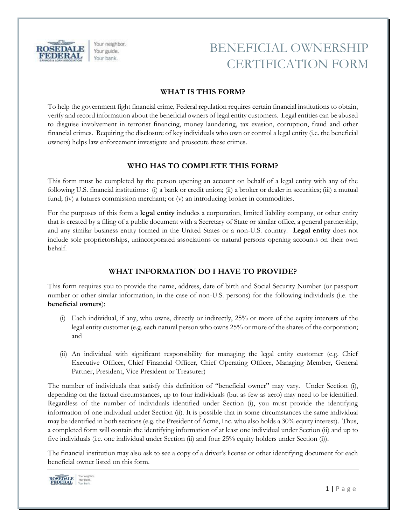

Your neighbor. Your guide. Your bank.

## BENEFICIAL OWNERSHIP CERTIFICATION FORM

#### **WHAT IS THIS FORM?**

To help the government fight financial crime, Federal regulation requires certain financial institutions to obtain, verify and record information about the beneficial owners of legal entity customers. Legal entities can be abused to disguise involvement in terrorist financing, money laundering, tax evasion, corruption, fraud and other financial crimes. Requiring the disclosure of key individuals who own or control a legal entity (i.e. the beneficial owners) helps law enforcement investigate and prosecute these crimes.

### **WHO HAS TO COMPLETE THIS FORM?**

This form must be completed by the person opening an account on behalf of a legal entity with any of the following U.S. financial institutions: (i) a bank or credit union; (ii) a broker or dealer in securities; (iii) a mutual fund; (iv) a futures commission merchant; or (v) an introducing broker in commodities.

For the purposes of this form a **legal entity** includes a corporation, limited liability company, or other entity that is created by a filing of a public document with a Secretary of State or similar office, a general partnership, and any similar business entity formed in the United States or a non-U.S. country. **Legal entity** does not include sole proprietorships, unincorporated associations or natural persons opening accounts on their own behalf.

### **WHAT INFORMATION DO I HAVE TO PROVIDE?**

This form requires you to provide the name, address, date of birth and Social Security Number (or passport number or other similar information, in the case of non-U.S. persons) for the following individuals (i.e. the **beneficial owners**):

- (i) Each individual, if any, who owns, directly or indirectly, 25% or more of the equity interests of the legal entity customer (e.g. each natural person who owns 25% or more of the shares of the corporation; and
- (ii) An individual with significant responsibility for managing the legal entity customer (e.g. Chief Executive Officer, Chief Financial Officer, Chief Operating Officer, Managing Member, General Partner, President, Vice President or Treasurer)

The number of individuals that satisfy this definition of "beneficial owner" may vary. Under Section (i), depending on the factual circumstances, up to four individuals (but as few as zero) may need to be identified. Regardless of the number of individuals identified under Section (i), you must provide the identifying information of one individual under Section (ii). It is possible that in some circumstances the same individual may be identified in both sections (e.g. the President of Acme, Inc. who also holds a 30% equity interest). Thus, a completed form will contain the identifying information of at least one individual under Section (ii) and up to five individuals (i.e. one individual under Section (ii) and four 25% equity holders under Section (i)).

The financial institution may also ask to see a copy of a driver's license or other identifying document for each beneficial owner listed on this form.

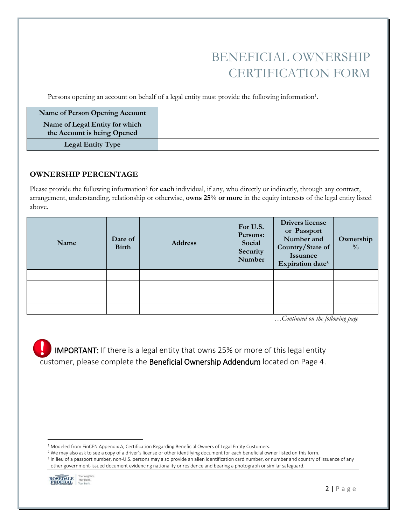## BENEFICIAL OWNERSHIP CERTIFICATION FORM

Persons opening an account on behalf of a legal entity must provide the following information<sup>1</sup>.

| <b>Name of Person Opening Account</b>                         |  |
|---------------------------------------------------------------|--|
| Name of Legal Entity for which<br>the Account is being Opened |  |
| <b>Legal Entity Type</b>                                      |  |

#### **OWNERSHIP PERCENTAGE**

Please provide the following information<sup>2</sup> for **each** individual, if any, who directly or indirectly, through any contract, arrangement, understanding, relationship or otherwise, **owns 25% or more** in the equity interests of the legal entity listed above.

| Name | Date of<br><b>Birth</b> | <b>Address</b> | For U.S.<br>Persons:<br>Social<br>Security<br>Number | <b>Drivers</b> license<br>or Passport<br>Number and<br>Country/State of<br>Issuance<br>Expiration date <sup>3</sup> | Ownership<br>$\frac{0}{0}$ |
|------|-------------------------|----------------|------------------------------------------------------|---------------------------------------------------------------------------------------------------------------------|----------------------------|
|      |                         |                |                                                      |                                                                                                                     |                            |
|      |                         |                |                                                      |                                                                                                                     |                            |
|      |                         |                |                                                      |                                                                                                                     |                            |
|      |                         |                |                                                      |                                                                                                                     |                            |

*…Continued on the following page*

IMPORTANT: If there is a legal entity that owns 25% or more of this legal entity customer, please complete the Beneficial Ownership Addendum located on Page 4.

<sup>3</sup> In lieu of a passport number, non-U.S. persons may also provide an alien identification card number, or number and country of issuance of any other government-issued document evidencing nationality or residence and bearing a photograph or similar safeguard.



 $\overline{\phantom{a}}$ 

<sup>&</sup>lt;sup>1</sup> Modeled from FinCEN Appendix A, Certification Regarding Beneficial Owners of Legal Entity Customers.

<sup>&</sup>lt;sup>2</sup> We may also ask to see a copy of a driver's license or other identifying document for each beneficial owner listed on this form.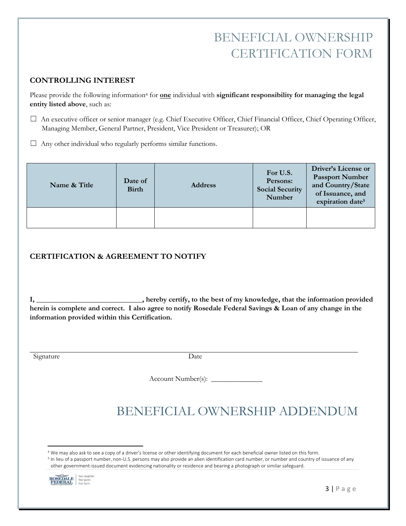## BENEFICIAL OWNERSHIP CERTIFICATION FORM

### **CONTROLLING INTEREST**

Please provide the following information<sup>4</sup> for **one** individual with **significant responsibility for managing the legal entity listed above**, such as:

- ☐ An executive officer or senior manager (e.g. Chief Executive Officer, Chief Financial Officer, Chief Operating Officer, Managing Member, General Partner, President, Vice President or Treasurer); OR
- $\Box$  Any other individual who regularly performs similar functions.

| Name & Title | Date of<br><b>Birth</b> | <b>Address</b> | For U.S.<br>Persons:<br><b>Social Security</b><br>Number | Driver's License or<br><b>Passport Number</b><br>and Country/State<br>of Issuance, and<br>expiration date <sup>5</sup> |
|--------------|-------------------------|----------------|----------------------------------------------------------|------------------------------------------------------------------------------------------------------------------------|
|              |                         |                |                                                          |                                                                                                                        |

## **CERTIFICATION & AGREEMENT TO NOTIFY**

**I, \_\_\_\_\_\_\_\_\_\_\_\_\_\_\_\_\_\_\_\_\_\_\_\_\_\_\_\_\_, hereby certify, to the best of my knowledge, that the information provided herein is complete and correct. I also agree to notify Rosedale Federal Savings & Loan of any change in the information provided within this Certification.** 

Signature Date

Account Number(s): \_\_\_\_\_\_\_\_\_\_\_\_\_\_

# BENEFICIAL OWNERSHIP ADDENDUM

<sup>5</sup> In lieu of a passport number, non-U.S. persons may also provide an alien identification card number, or number and country of issuance of any other government-issued document evidencing nationality or residence and bearing a photograph or similar safeguard.



 $\overline{\phantom{a}}$ 4 We may also ask to see a copy of a driver's license or other identifying document for each beneficial owner listed on this form.